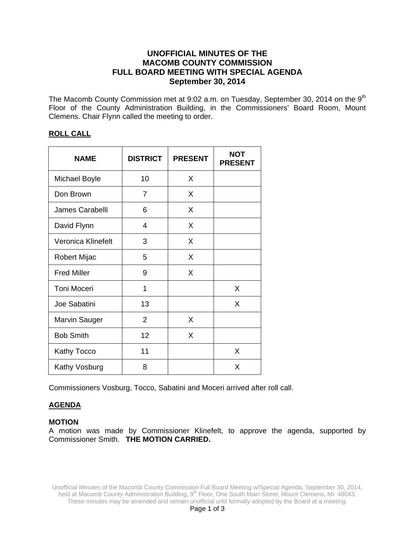# **UNOFFICIAL MINUTES OF THE MACOMB COUNTY COMMISSION FULL BOARD MEETING WITH SPECIAL AGENDA September 30, 2014**

The Macomb County Commission met at 9:02 a.m. on Tuesday, September 30, 2014 on the 9<sup>th</sup> Floor of the County Administration Building, in the Commissioners' Board Room, Mount Clemens. Chair Flynn called the meeting to order.

#### **ROLL CALL**

| <b>NAME</b>          | <b>DISTRICT</b> | <b>PRESENT</b> | <b>NOT</b><br><b>PRESENT</b> |
|----------------------|-----------------|----------------|------------------------------|
| <b>Michael Boyle</b> | 10              | X              |                              |
| Don Brown            | 7               | X              |                              |
| James Carabelli      | 6               | X              |                              |
| David Flynn          | 4               | X              |                              |
| Veronica Klinefelt   | 3               | X              |                              |
| Robert Mijac         | 5               | X              |                              |
| <b>Fred Miller</b>   | 9               | X              |                              |
| <b>Toni Moceri</b>   | 1               |                | X                            |
| Joe Sabatini         | 13              |                | X                            |
| <b>Marvin Sauger</b> | $\overline{2}$  | X              |                              |
| <b>Bob Smith</b>     | 12              | X              |                              |
| Kathy Tocco          | 11              |                | X                            |
| Kathy Vosburg        | 8               |                | X                            |

Commissioners Vosburg, Tocco, Sabatini and Moceri arrived after roll call.

# **AGENDA**

#### **MOTION**

A motion was made by Commissioner Klinefelt, to approve the agenda, supported by Commissioner Smith. **THE MOTION CARRIED.**

Unofficial Minutes of the Macomb County Commission Full Board Meeting w/Special Agenda, September 30, 2014, held at Macomb County Administration Building, 9<sup>th</sup> Floor, One South Main Street, Mount Clemens, MI 48043. These minutes may be amended and remain unofficial until formally adopted by the Board at a meeting.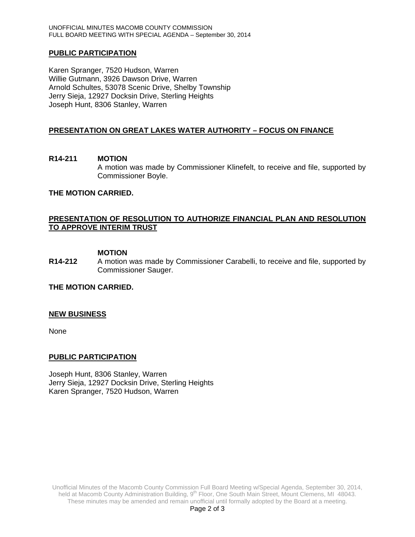#### **PUBLIC PARTICIPATION**

Karen Spranger, 7520 Hudson, Warren Willie Gutmann, 3926 Dawson Drive, Warren Arnold Schultes, 53078 Scenic Drive, Shelby Township Jerry Sieja, 12927 Docksin Drive, Sterling Heights Joseph Hunt, 8306 Stanley, Warren

### **PRESENTATION ON GREAT LAKES WATER AUTHORITY – FOCUS ON FINANCE**

# **R14-211 MOTION**  A motion was made by Commissioner Klinefelt, to receive and file, supported by Commissioner Boyle.

#### **THE MOTION CARRIED.**

## **PRESENTATION OF RESOLUTION TO AUTHORIZE FINANCIAL PLAN AND RESOLUTION TO APPROVE INTERIM TRUST**

#### **MOTION**

**R14-212** A motion was made by Commissioner Carabelli, to receive and file, supported by Commissioner Sauger.

## **THE MOTION CARRIED.**

#### **NEW BUSINESS**

None

#### **PUBLIC PARTICIPATION**

Joseph Hunt, 8306 Stanley, Warren Jerry Sieja, 12927 Docksin Drive, Sterling Heights Karen Spranger, 7520 Hudson, Warren